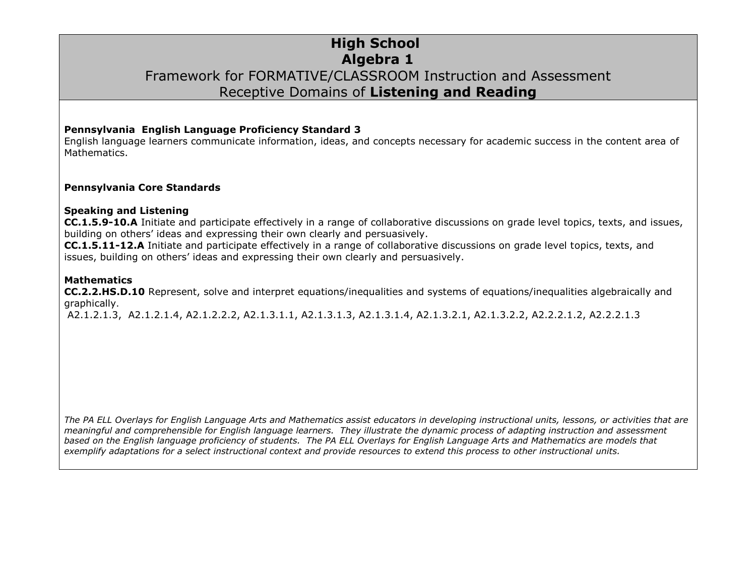## **High School Algebra 1** Framework for FORMATIVE/CLASSROOM Instruction and Assessment Receptive Domains of **Listening and Reading**

### **Pennsylvania English Language Proficiency Standard 3**

English language learners communicate information, ideas, and concepts necessary for academic success in the content area of Mathematics.

### **Pennsylvania Core Standards**

### **Speaking and Listening**

**CC.1.5.9-10.A** Initiate and participate effectively in a range of collaborative discussions on grade level topics, texts, and issues, building on others' ideas and expressing their own clearly and persuasively.

**CC.1.5.11-12.A** Initiate and participate effectively in a range of collaborative discussions on grade level topics, texts, and issues, building on others' ideas and expressing their own clearly and persuasively.

#### **Mathematics**

**CC.2.2.HS.D.10** Represent, solve and interpret equations/inequalities and systems of equations/inequalities algebraically and graphically.

A2.1.2.1.3, A2.1.2.1.4, A2.1.2.2.2, A2.1.3.1.1, A2.1.3.1.3, A2.1.3.1.4, A2.1.3.2.1, A2.1.3.2.2, A2.2.2.1.2, A2.2.2.1.3

*The PA ELL Overlays for English Language Arts and Mathematics assist educators in developing instructional units, lessons, or activities that are meaningful and comprehensible for English language learners. They illustrate the dynamic process of adapting instruction and assessment based on the English language proficiency of students. The PA ELL Overlays for English Language Arts and Mathematics are models that exemplify adaptations for a select instructional context and provide resources to extend this process to other instructional units.*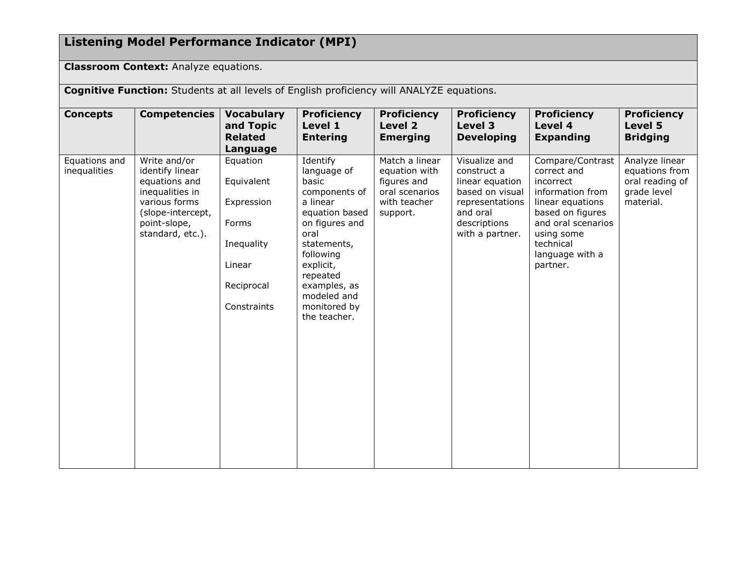# **Listening Model Performance Indicator (MPI)**

**Classroom Context:** Analyze equations.

| Cognitive Function: Students at all levels of English proficiency will ANALYZE equations. |                                                                                                                                               |                                                                                                    |                                                                                                                                                                                                                               |                                                                                              |                                                                                                                                      |                                                                                                                                                                                          |                                                                                 |  |
|-------------------------------------------------------------------------------------------|-----------------------------------------------------------------------------------------------------------------------------------------------|----------------------------------------------------------------------------------------------------|-------------------------------------------------------------------------------------------------------------------------------------------------------------------------------------------------------------------------------|----------------------------------------------------------------------------------------------|--------------------------------------------------------------------------------------------------------------------------------------|------------------------------------------------------------------------------------------------------------------------------------------------------------------------------------------|---------------------------------------------------------------------------------|--|
| <b>Concepts</b>                                                                           | <b>Competencies</b>                                                                                                                           | <b>Vocabulary</b><br>and Topic<br><b>Related</b><br>Language                                       | <b>Proficiency</b><br>Level 1<br><b>Entering</b>                                                                                                                                                                              | <b>Proficiency</b><br>Level 2<br><b>Emerging</b>                                             | <b>Proficiency</b><br>Level 3<br><b>Developing</b>                                                                                   | <b>Proficiency</b><br>Level 4<br><b>Expanding</b>                                                                                                                                        | <b>Proficiency</b><br>Level 5<br><b>Bridging</b>                                |  |
| Equations and<br>inequalities                                                             | Write and/or<br>identify linear<br>equations and<br>inequalities in<br>various forms<br>(slope-intercept,<br>point-slope,<br>standard, etc.). | Equation<br>Equivalent<br>Expression<br>Forms<br>Inequality<br>Linear<br>Reciprocal<br>Constraints | Identify<br>language of<br>basic<br>components of<br>a linear<br>equation based<br>on figures and<br>oral<br>statements,<br>following<br>explicit,<br>repeated<br>examples, as<br>modeled and<br>monitored by<br>the teacher. | Match a linear<br>equation with<br>figures and<br>oral scenarios<br>with teacher<br>support. | Visualize and<br>construct a<br>linear equation<br>based on visual<br>representations<br>and oral<br>descriptions<br>with a partner. | Compare/Contrast<br>correct and<br>incorrect<br>information from<br>linear equations<br>based on figures<br>and oral scenarios<br>using some<br>technical<br>language with a<br>partner. | Analyze linear<br>equations from<br>oral reading of<br>grade level<br>material. |  |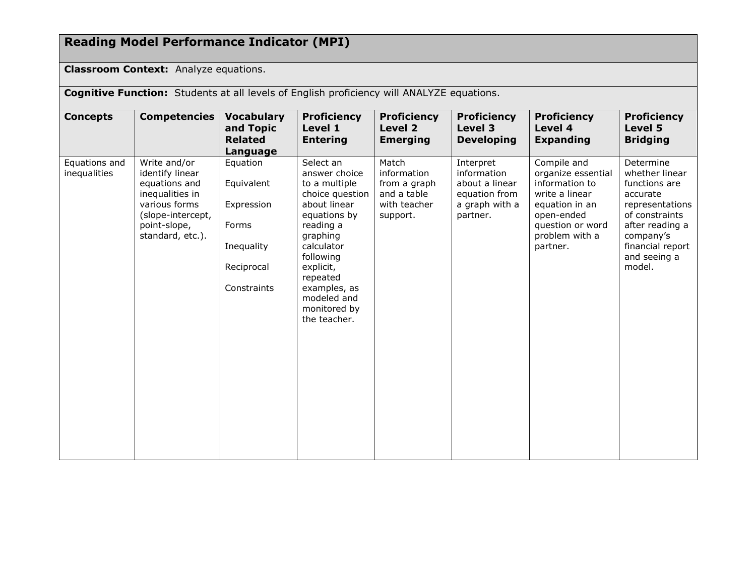## **Reading Model Performance Indicator (MPI)**

### **Classroom Context:** Analyze equations.

**Cognitive Function:** Students at all levels of English proficiency will ANALYZE equations.

| <b>Concepts</b>               | <b>Competencies</b>                                                                                                                           | <b>Vocabulary</b><br>and Topic<br><b>Related</b><br>Language                             | <b>Proficiency</b><br>Level 1<br><b>Entering</b>                                                                                                                                                                                           | <b>Proficiency</b><br>Level 2<br><b>Emerging</b>                                | <b>Proficiency</b><br>Level 3<br><b>Developing</b>                                        | <b>Proficiency</b><br>Level 4<br><b>Expanding</b>                                                                                                       | <b>Proficiency</b><br>Level 5<br><b>Bridging</b>                                                                                                                            |
|-------------------------------|-----------------------------------------------------------------------------------------------------------------------------------------------|------------------------------------------------------------------------------------------|--------------------------------------------------------------------------------------------------------------------------------------------------------------------------------------------------------------------------------------------|---------------------------------------------------------------------------------|-------------------------------------------------------------------------------------------|---------------------------------------------------------------------------------------------------------------------------------------------------------|-----------------------------------------------------------------------------------------------------------------------------------------------------------------------------|
| Equations and<br>inequalities | Write and/or<br>identify linear<br>equations and<br>inequalities in<br>various forms<br>(slope-intercept,<br>point-slope,<br>standard, etc.). | Equation<br>Equivalent<br>Expression<br>Forms<br>Inequality<br>Reciprocal<br>Constraints | Select an<br>answer choice<br>to a multiple<br>choice question<br>about linear<br>equations by<br>reading a<br>graphing<br>calculator<br>following<br>explicit,<br>repeated<br>examples, as<br>modeled and<br>monitored by<br>the teacher. | Match<br>information<br>from a graph<br>and a table<br>with teacher<br>support. | Interpret<br>information<br>about a linear<br>equation from<br>a graph with a<br>partner. | Compile and<br>organize essential<br>information to<br>write a linear<br>equation in an<br>open-ended<br>question or word<br>problem with a<br>partner. | Determine<br>whether linear<br>functions are<br>accurate<br>representations<br>of constraints<br>after reading a<br>company's<br>financial report<br>and seeing a<br>model. |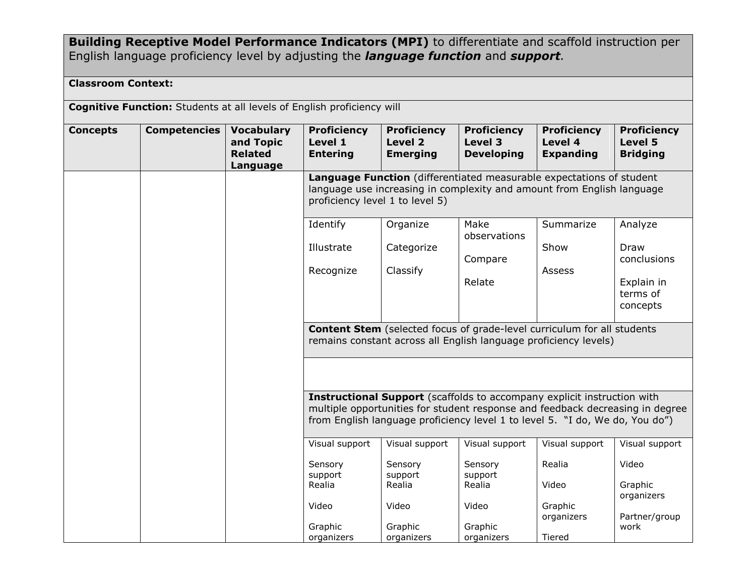### **Building Receptive Model Performance Indicators (MPI)** to differentiate and scaffold instruction per English language proficiency level by adjusting the *language function* and *support.*

### **Classroom Context:**

**Cognitive Function:** Students at all levels of English proficiency will

| <b>Concepts</b> | <b>Competencies</b> | <b>Vocabulary</b><br>and Topic<br><b>Related</b><br>Language | <b>Proficiency</b><br>Level 1<br><b>Entering</b>                                                                                                                                  | <b>Proficiency</b><br>Level 2<br><b>Emerging</b> | <b>Proficiency</b><br>Level 3<br><b>Developing</b>                                                                                                                                                                                       | <b>Proficiency</b><br>Level 4<br><b>Expanding</b> | <b>Proficiency</b><br>Level 5<br><b>Bridging</b> |  |  |
|-----------------|---------------------|--------------------------------------------------------------|-----------------------------------------------------------------------------------------------------------------------------------------------------------------------------------|--------------------------------------------------|------------------------------------------------------------------------------------------------------------------------------------------------------------------------------------------------------------------------------------------|---------------------------------------------------|--------------------------------------------------|--|--|
|                 |                     |                                                              | Language Function (differentiated measurable expectations of student<br>language use increasing in complexity and amount from English language<br>proficiency level 1 to level 5) |                                                  |                                                                                                                                                                                                                                          |                                                   |                                                  |  |  |
|                 |                     |                                                              | Identify                                                                                                                                                                          | Organize                                         | Make<br>observations                                                                                                                                                                                                                     | Summarize                                         | Analyze                                          |  |  |
|                 |                     |                                                              | Illustrate                                                                                                                                                                        | Categorize                                       | Compare                                                                                                                                                                                                                                  | Show                                              | Draw<br>conclusions                              |  |  |
|                 |                     |                                                              | Recognize                                                                                                                                                                         | Classify                                         | Relate                                                                                                                                                                                                                                   | Assess                                            |                                                  |  |  |
|                 |                     |                                                              |                                                                                                                                                                                   |                                                  |                                                                                                                                                                                                                                          |                                                   | Explain in<br>terms of<br>concepts               |  |  |
|                 |                     |                                                              |                                                                                                                                                                                   |                                                  | <b>Content Stem</b> (selected focus of grade-level curriculum for all students<br>remains constant across all English language proficiency levels)                                                                                       |                                                   |                                                  |  |  |
|                 |                     |                                                              |                                                                                                                                                                                   |                                                  |                                                                                                                                                                                                                                          |                                                   |                                                  |  |  |
|                 |                     |                                                              |                                                                                                                                                                                   |                                                  | Instructional Support (scaffolds to accompany explicit instruction with<br>multiple opportunities for student response and feedback decreasing in degree<br>from English language proficiency level 1 to level 5. "I do, We do, You do") |                                                   |                                                  |  |  |
|                 |                     |                                                              | Visual support                                                                                                                                                                    | Visual support                                   | Visual support                                                                                                                                                                                                                           | Visual support                                    | Visual support                                   |  |  |
|                 |                     |                                                              | Sensory<br>support                                                                                                                                                                | Sensory<br>support                               | Sensory<br>support                                                                                                                                                                                                                       | Realia                                            | Video                                            |  |  |
|                 |                     |                                                              | Realia                                                                                                                                                                            | Realia                                           | Realia                                                                                                                                                                                                                                   | Video                                             | Graphic<br>organizers                            |  |  |
|                 |                     |                                                              | Video                                                                                                                                                                             | Video                                            | Video                                                                                                                                                                                                                                    | Graphic<br>organizers                             | Partner/group                                    |  |  |
|                 |                     |                                                              | Graphic<br>organizers                                                                                                                                                             | Graphic<br>organizers                            | Graphic<br>organizers                                                                                                                                                                                                                    | Tiered                                            | work                                             |  |  |